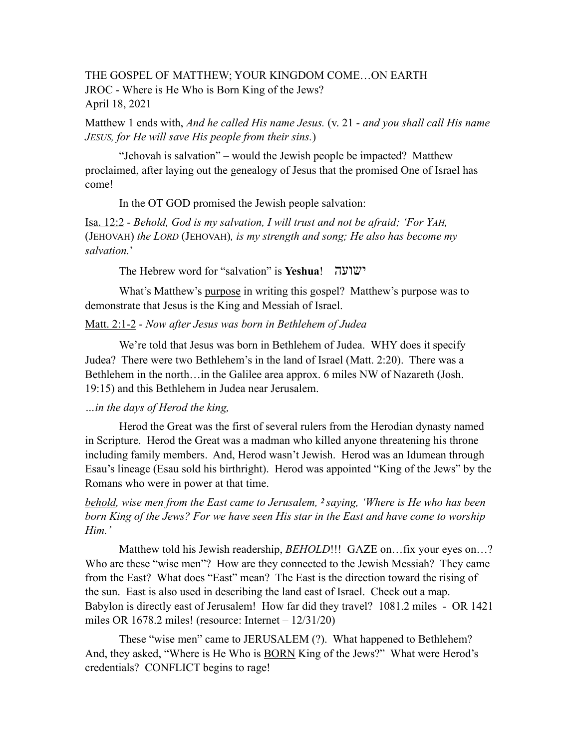## THE GOSPEL OF MATTHEW; YOUR KINGDOM COME…ON EARTH JROC - Where is He Who is Born King of the Jews? April 18, 2021

Matthew 1 ends with, *And he called His name Jesus.* (v. 21 - *and you shall call His name JESUS, for He will save His people from their sins.*)

"Jehovah is salvation" – would the Jewish people be impacted? Matthew proclaimed, after laying out the genealogy of Jesus that the promised One of Israel has come!

In the OT GOD promised the Jewish people salvation:

Isa. 12:2 - *Behold, God is my salvation, I will trust and not be afraid; 'For YAH,*  (JEHOVAH) *the LORD* (JEHOVAH)*, is my strength and song; He also has become my salvation.*'

The Hebrew word for "salvation" is **Yeshua**! ישועה

What's Matthew's purpose in writing this gospel? Matthew's purpose was to demonstrate that Jesus is the King and Messiah of Israel.

#### Matt. 2:1-2 - *Now after Jesus was born in Bethlehem of Judea*

We're told that Jesus was born in Bethlehem of Judea. WHY does it specify Judea? There were two Bethlehem's in the land of Israel (Matt. 2:20). There was a Bethlehem in the north…in the Galilee area approx. 6 miles NW of Nazareth (Josh. 19:15) and this Bethlehem in Judea near Jerusalem.

## *…in the days of Herod the king,*

 Herod the Great was the first of several rulers from the Herodian dynasty named in Scripture. Herod the Great was a madman who killed anyone threatening his throne including family members. And, Herod wasn't Jewish. Herod was an Idumean through Esau's lineage (Esau sold his birthright). Herod was appointed "King of the Jews" by the Romans who were in power at that time.

*behold, wise men from the East came to Jerusalem, 2 saying, 'Where is He who has been born King of the Jews? For we have seen His star in the East and have come to worship Him.'*

Matthew told his Jewish readership, *BEHOLD*!!! GAZE on…fix your eyes on…? Who are these "wise men"? How are they connected to the Jewish Messiah? They came from the East? What does "East" mean? The East is the direction toward the rising of the sun. East is also used in describing the land east of Israel. Check out a map. Babylon is directly east of Jerusalem! How far did they travel? 1081.2 miles - OR 1421 miles OR 1678.2 miles! (resource: Internet  $-12/31/20$ )

These "wise men" came to JERUSALEM (?). What happened to Bethlehem? And, they asked, "Where is He Who is **BORN** King of the Jews?" What were Herod's credentials? CONFLICT begins to rage!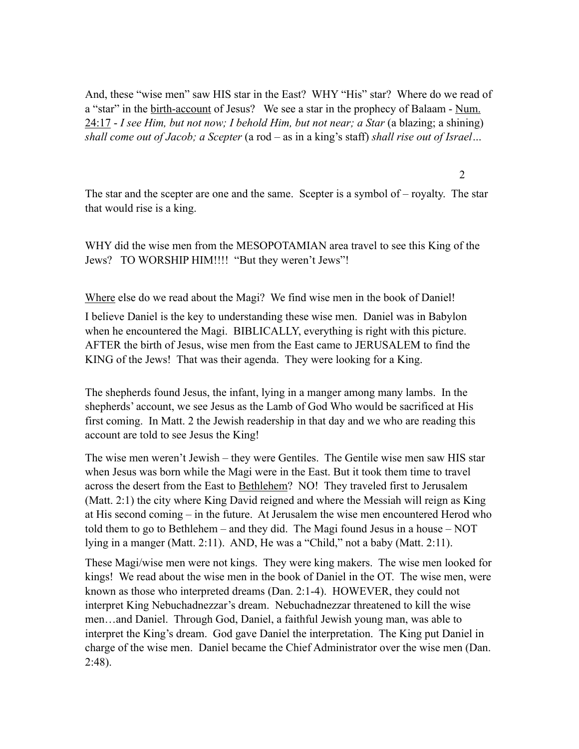And, these "wise men" saw HIS star in the East? WHY "His" star? Where do we read of a "star" in the birth-account of Jesus? We see a star in the prophecy of Balaam - Num. 24:17 - *I see Him, but not now; I behold Him, but not near; a Star* (a blazing; a shining) *shall come out of Jacob; a Scepter* (a rod – as in a king's staff) *shall rise out of Israel…* 

The star and the scepter are one and the same. Scepter is a symbol of – royalty. The star that would rise is a king.

2

WHY did the wise men from the MESOPOTAMIAN area travel to see this King of the Jews? TO WORSHIP HIM!!!! "But they weren't Jews"!

Where else do we read about the Magi? We find wise men in the book of Daniel!

I believe Daniel is the key to understanding these wise men. Daniel was in Babylon when he encountered the Magi. BIBLICALLY, everything is right with this picture. AFTER the birth of Jesus, wise men from the East came to JERUSALEM to find the KING of the Jews! That was their agenda. They were looking for a King.

The shepherds found Jesus, the infant, lying in a manger among many lambs. In the shepherds' account, we see Jesus as the Lamb of God Who would be sacrificed at His first coming. In Matt. 2 the Jewish readership in that day and we who are reading this account are told to see Jesus the King!

The wise men weren't Jewish – they were Gentiles. The Gentile wise men saw HIS star when Jesus was born while the Magi were in the East. But it took them time to travel across the desert from the East to Bethlehem? NO! They traveled first to Jerusalem (Matt. 2:1) the city where King David reigned and where the Messiah will reign as King at His second coming – in the future. At Jerusalem the wise men encountered Herod who told them to go to Bethlehem – and they did. The Magi found Jesus in a house – NOT lying in a manger (Matt. 2:11). AND, He was a "Child," not a baby (Matt. 2:11).

These Magi/wise men were not kings. They were king makers. The wise men looked for kings! We read about the wise men in the book of Daniel in the OT. The wise men, were known as those who interpreted dreams (Dan. 2:1-4). HOWEVER, they could not interpret King Nebuchadnezzar's dream. Nebuchadnezzar threatened to kill the wise men…and Daniel. Through God, Daniel, a faithful Jewish young man, was able to interpret the King's dream. God gave Daniel the interpretation. The King put Daniel in charge of the wise men. Daniel became the Chief Administrator over the wise men (Dan. 2:48).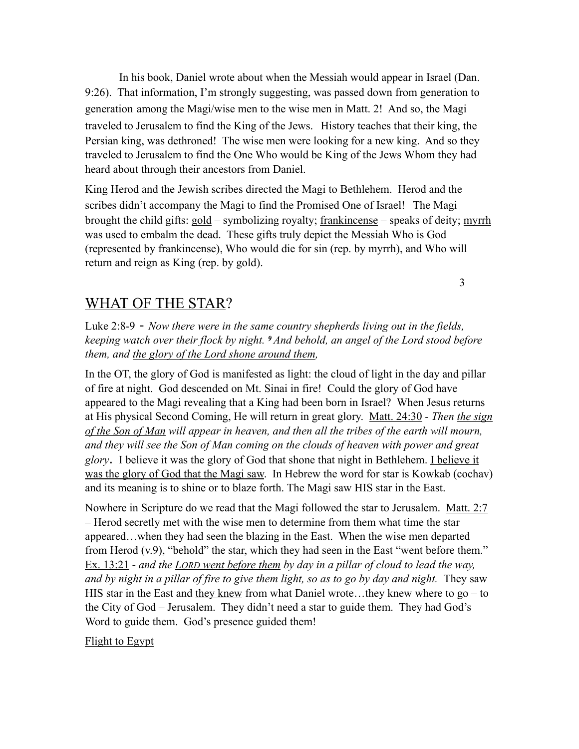In his book, Daniel wrote about when the Messiah would appear in Israel (Dan. 9:26). That information, I'm strongly suggesting, was passed down from generation to generation among the Magi/wise men to the wise men in Matt. 2! And so, the Magi traveled to Jerusalem to find the King of the Jews. History teaches that their king, the Persian king, was dethroned! The wise men were looking for a new king. And so they traveled to Jerusalem to find the One Who would be King of the Jews Whom they had heard about through their ancestors from Daniel.

King Herod and the Jewish scribes directed the Magi to Bethlehem. Herod and the scribes didn't accompany the Magi to find the Promised One of Israel! The Magi brought the child gifts: gold – symbolizing royalty; frankincense – speaks of deity; myrrh was used to embalm the dead. These gifts truly depict the Messiah Who is God (represented by frankincense), Who would die for sin (rep. by myrrh), and Who will return and reign as King (rep. by gold).

# WHAT OF THE STAR?

Luke 2:8-9 - *Now there were in the same country shepherds living out in the fields, keeping watch over their flock by night. 9 And behold, an angel of the Lord stood before them, and the glory of the Lord shone around them,*

3

In the OT, the glory of God is manifested as light: the cloud of light in the day and pillar of fire at night. God descended on Mt. Sinai in fire! Could the glory of God have appeared to the Magi revealing that a King had been born in Israel? When Jesus returns at His physical Second Coming, He will return in great glory. Matt. 24:30 - *Then the sign of the Son of Man will appear in heaven, and then all the tribes of the earth will mourn,*  and they will see the Son of Man coming on the clouds of heaven with power and great *glory*. I believe it was the glory of God that shone that night in Bethlehem. I believe it was the glory of God that the Magi saw. In Hebrew the word for star is Kowkab (cochav) and its meaning is to shine or to blaze forth. The Magi saw HIS star in the East.

Nowhere in Scripture do we read that the Magi followed the star to Jerusalem. Matt. 2:7 – Herod secretly met with the wise men to determine from them what time the star appeared…when they had seen the blazing in the East. When the wise men departed from Herod (v.9), "behold" the star, which they had seen in the East "went before them." Ex. 13:21 - *and the LORD went before them by day in a pillar of cloud to lead the way, and by night in a pillar of fire to give them light, so as to go by day and night.* They saw HIS star in the East and they knew from what Daniel wrote...they knew where to go – to the City of God – Jerusalem. They didn't need a star to guide them. They had God's Word to guide them. God's presence guided them!

### Flight to Egypt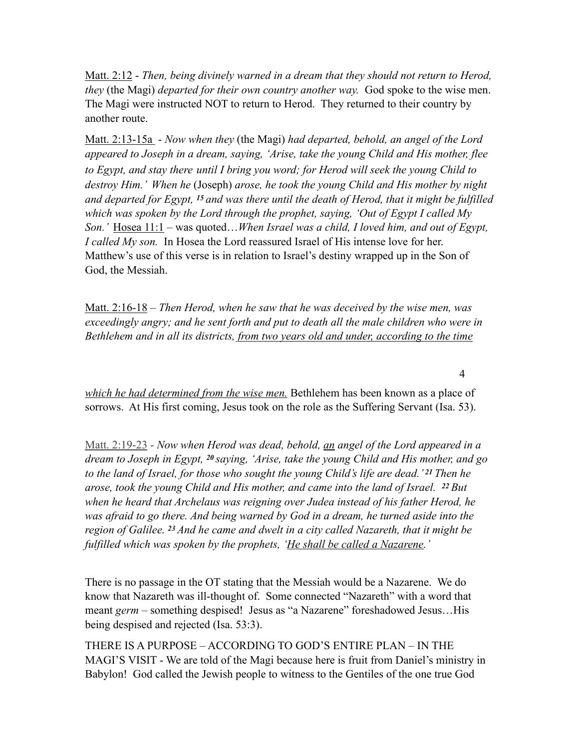Matt. 2:12 - *Then, being divinely warned in a dream that they should not return to Herod, they* (the Magi) *departed for their own country another way.* God spoke to the wise men. The Magi were instructed NOT to return to Herod. They returned to their country by another route.

Matt. 2:13-15a - *Now when they* (the Magi) *had departed, behold, an angel of the Lord appeared to Joseph in a dream, saying, 'Arise, take the young Child and His mother, flee to Egypt, and stay there until I bring you word; for Herod will seek the young Child to destroy Him.' When he* (Joseph) *arose, he took the young Child and His mother by night and departed for Egypt, 15 and was there until the death of Herod, that it might be fulfilled which was spoken by the Lord through the prophet, saying, 'Out of Egypt I called My Son.'* Hosea 11:1 – was quoted…*When Israel was a child, I loved him, and out of Egypt, I called My son.* In Hosea the Lord reassured Israel of His intense love for her. Matthew's use of this verse is in relation to Israel's destiny wrapped up in the Son of God, the Messiah.

Matt. 2:16-18 – *Then Herod, when he saw that he was deceived by the wise men, was exceedingly angry; and he sent forth and put to death all the male children who were in Bethlehem and in all its districts, from two years old and under, according to the time* 

*which he had determined from the wise men.* Bethlehem has been known as a place of sorrows. At His first coming, Jesus took on the role as the Suffering Servant (Isa. 53).

Matt. 2:19-23 - *Now when Herod was dead, behold, an angel of the Lord appeared in a dream to Joseph in Egypt, 20 saying, 'Arise, take the young Child and His mother, and go to the land of Israel, for those who sought the young Child's life are dead.' 21 Then he arose, took the young Child and His mother, and came into the land of Israel. 22 But when he heard that Archelaus was reigning over Judea instead of his father Herod, he*  was afraid to go there. And being warned by God in a dream, he turned aside into the *region of Galilee. 23 And he came and dwelt in a city called Nazareth, that it might be fulfilled which was spoken by the prophets, 'He shall be called a Nazarene.'* 

There is no passage in the OT stating that the Messiah would be a Nazarene. We do know that Nazareth was ill-thought of. Some connected "Nazareth" with a word that meant *germ* – something despised! Jesus as "a Nazarene" foreshadowed Jesus…His being despised and rejected (Isa. 53:3).

THERE IS A PURPOSE – ACCORDING TO GOD'S ENTIRE PLAN – IN THE MAGI'S VISIT - We are told of the Magi because here is fruit from Daniel's ministry in Babylon! God called the Jewish people to witness to the Gentiles of the one true God

4